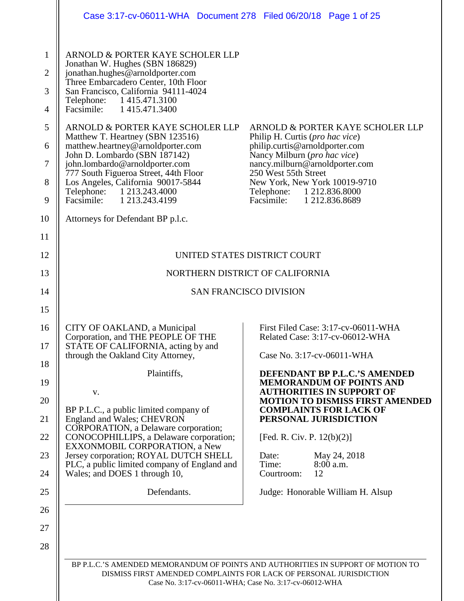<span id="page-0-0"></span>

|                                                                                        | Case 3:17-cv-06011-WHA Document 278 Filed 06/20/18 Page 1 of 25                                                                                                                                                                                                                                                                                                                                                                                                                                                                                                                                                 |                                                                                                                                                                                                                                                                                               |  |  |
|----------------------------------------------------------------------------------------|-----------------------------------------------------------------------------------------------------------------------------------------------------------------------------------------------------------------------------------------------------------------------------------------------------------------------------------------------------------------------------------------------------------------------------------------------------------------------------------------------------------------------------------------------------------------------------------------------------------------|-----------------------------------------------------------------------------------------------------------------------------------------------------------------------------------------------------------------------------------------------------------------------------------------------|--|--|
| $\mathbf{1}$<br>$\overline{2}$<br>3<br>4<br>5<br>6<br>7<br>8<br>$\boldsymbol{9}$<br>10 | ARNOLD & PORTER KAYE SCHOLER LLP<br>Jonathan W. Hughes (SBN 186829)<br>jonathan.hughes@arnoldporter.com<br>Three Embarcadero Center, 10th Floor<br>San Francisco, California 94111-4024<br>Telephone: 1 415.471.3100<br>Facsimile: 1 415.471.3400<br>ARNOLD & PORTER KAYE SCHOLER LLP<br>Matthew T. Heartney (SBN 123516)<br>matthew.heartney@arnoldporter.com<br>John D. Lombardo (SBN 187142)<br>john.lombardo@arnoldporter.com<br>777 South Figueroa Street, 44th Floor<br>Los Angeles, California 90017-5844<br>Telephone: 1 213.243.4000<br>Facsimile: 1 213.243.4199<br>Attorneys for Defendant BP p.l.c. | ARNOLD & PORTER KAYE SCHOLER LLP<br>Philip H. Curtis (pro hac vice)<br>philip.curtis@arnoldporter.com<br>Nancy Milburn (pro hac vice)<br>nancy.milburn@arnoldporter.com<br>250 West 55th Street<br>New York, New York 10019-9710<br>Telephone: 1 212.836.8000<br>Facsimile:<br>1 212.836.8689 |  |  |
| 11                                                                                     |                                                                                                                                                                                                                                                                                                                                                                                                                                                                                                                                                                                                                 |                                                                                                                                                                                                                                                                                               |  |  |
| 12                                                                                     |                                                                                                                                                                                                                                                                                                                                                                                                                                                                                                                                                                                                                 | UNITED STATES DISTRICT COURT                                                                                                                                                                                                                                                                  |  |  |
| 13                                                                                     | NORTHERN DISTRICT OF CALIFORNIA                                                                                                                                                                                                                                                                                                                                                                                                                                                                                                                                                                                 |                                                                                                                                                                                                                                                                                               |  |  |
| 14                                                                                     |                                                                                                                                                                                                                                                                                                                                                                                                                                                                                                                                                                                                                 | <b>SAN FRANCISCO DIVISION</b>                                                                                                                                                                                                                                                                 |  |  |
| 15                                                                                     |                                                                                                                                                                                                                                                                                                                                                                                                                                                                                                                                                                                                                 |                                                                                                                                                                                                                                                                                               |  |  |
| 16<br>17                                                                               | CITY OF OAKLAND, a Municipal<br>Corporation, and THE PEOPLE OF THE<br>STATE OF CALIFORNIA, acting by and<br>through the Oakland City Attorney,                                                                                                                                                                                                                                                                                                                                                                                                                                                                  | First Filed Case: 3:17-cv-06011-WHA<br>Related Case: 3:17-cv-06012-WHA<br>Case No. 3:17-cv-06011-WHA                                                                                                                                                                                          |  |  |
| 18                                                                                     | Plaintiffs,                                                                                                                                                                                                                                                                                                                                                                                                                                                                                                                                                                                                     | DEFENDANT BP P.L.C.'S AMENDED                                                                                                                                                                                                                                                                 |  |  |
| 19                                                                                     | V.                                                                                                                                                                                                                                                                                                                                                                                                                                                                                                                                                                                                              | <b>MEMORANDUM OF POINTS AND</b><br><b>AUTHORITIES IN SUPPORT OF</b>                                                                                                                                                                                                                           |  |  |
| 20<br>21                                                                               | BP P.L.C., a public limited company of<br>England and Wales; CHEVRON                                                                                                                                                                                                                                                                                                                                                                                                                                                                                                                                            | <b>MOTION TO DISMISS FIRST AMENDED</b><br><b>COMPLAINTS FOR LACK OF</b><br>PERSONAL JURISDICTION                                                                                                                                                                                              |  |  |
| 22                                                                                     | CORPORATION, a Delaware corporation;<br>CONOCOPHILLIPS, a Delaware corporation;                                                                                                                                                                                                                                                                                                                                                                                                                                                                                                                                 | [Fed. R. Civ. P. $12(b)(2)$ ]                                                                                                                                                                                                                                                                 |  |  |
| 23                                                                                     | EXXONMOBIL CORPORATION, a New<br>Jersey corporation; ROYAL DUTCH SHELL                                                                                                                                                                                                                                                                                                                                                                                                                                                                                                                                          | Date:<br>May 24, 2018                                                                                                                                                                                                                                                                         |  |  |
| 24                                                                                     | PLC, a public limited company of England and<br>Wales; and DOES 1 through 10,                                                                                                                                                                                                                                                                                                                                                                                                                                                                                                                                   | Time:<br>8:00 a.m.<br>12<br>Courtroom:                                                                                                                                                                                                                                                        |  |  |
| 25                                                                                     | Defendants.                                                                                                                                                                                                                                                                                                                                                                                                                                                                                                                                                                                                     | Judge: Honorable William H. Alsup                                                                                                                                                                                                                                                             |  |  |
| 26<br>27                                                                               |                                                                                                                                                                                                                                                                                                                                                                                                                                                                                                                                                                                                                 |                                                                                                                                                                                                                                                                                               |  |  |
| 28                                                                                     |                                                                                                                                                                                                                                                                                                                                                                                                                                                                                                                                                                                                                 | BP P.L.C.'S AMENDED MEMORANDUM OF POINTS AND AUTHORITIES IN SUPPORT OF MOTION TO<br>DISMISS FIRST AMENDED COMPLAINTS FOR LACK OF PERSONAL JURISDICTION<br>Case No. 3:17-cv-06011-WHA; Case No. 3:17-cv-06012-WHA                                                                              |  |  |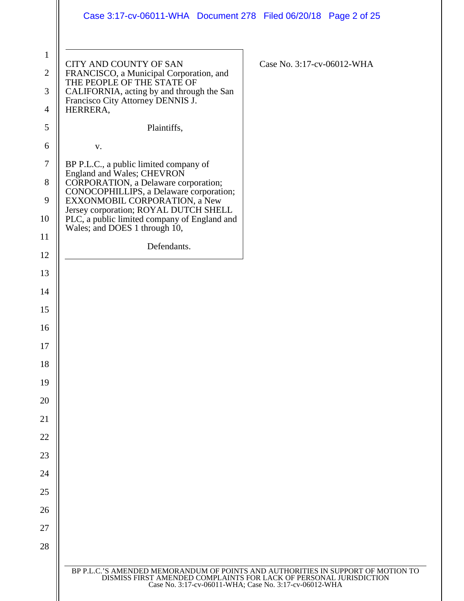|                                     | Case 3:17-cv-06011-WHA  Document 278  Filed 06/20/18  Page 2 of 25                                                                                                                                               |  |
|-------------------------------------|------------------------------------------------------------------------------------------------------------------------------------------------------------------------------------------------------------------|--|
| $\mathbf{1}$<br>$\overline{2}$<br>3 | CITY AND COUNTY OF SAN<br>Case No. 3:17-cv-06012-WHA<br>FRANCISCO, a Municipal Corporation, and<br>THE PEOPLE OF THE STATE OF<br>CALIFORNIA, acting by and through the San<br>Francisco City Attorney DENNIS J.  |  |
| 4                                   | HERRERA,                                                                                                                                                                                                         |  |
| 5                                   | Plaintiffs,                                                                                                                                                                                                      |  |
| 6                                   | V.                                                                                                                                                                                                               |  |
| $\boldsymbol{7}$                    | BP P.L.C., a public limited company of<br>England and Wales; CHEVRON                                                                                                                                             |  |
| 8<br>9                              | CORPORATION, a Delaware corporation;<br>CONOCOPHILLIPS, a Delaware corporation;<br>EXXONMOBIL CORPORATION, a New                                                                                                 |  |
| 10                                  | Jersey corporation; ROYAL DUTCH SHELL<br>PLC, a public limited company of England and                                                                                                                            |  |
| 11                                  | Wales; and DOES 1 through 10,                                                                                                                                                                                    |  |
| 12                                  | Defendants.                                                                                                                                                                                                      |  |
| 13                                  |                                                                                                                                                                                                                  |  |
| 14                                  |                                                                                                                                                                                                                  |  |
| 15                                  |                                                                                                                                                                                                                  |  |
| 16                                  |                                                                                                                                                                                                                  |  |
| 17                                  |                                                                                                                                                                                                                  |  |
| 18                                  |                                                                                                                                                                                                                  |  |
| 19                                  |                                                                                                                                                                                                                  |  |
| 20                                  |                                                                                                                                                                                                                  |  |
| 21                                  |                                                                                                                                                                                                                  |  |
| 22                                  |                                                                                                                                                                                                                  |  |
| 23                                  |                                                                                                                                                                                                                  |  |
| 24                                  |                                                                                                                                                                                                                  |  |
| 25                                  |                                                                                                                                                                                                                  |  |
| 26                                  |                                                                                                                                                                                                                  |  |
| 27                                  |                                                                                                                                                                                                                  |  |
| 28                                  |                                                                                                                                                                                                                  |  |
|                                     | BP P.L.C.'S AMENDED MEMORANDUM OF POINTS AND AUTHORITIES IN SUPPORT OF MOTION TO<br>DISMISS FIRST AMENDED COMPLAINTS FOR LACK OF PERSONAL JURISDICTION<br>Case No. 3:17-cv-06011-WHA; Case No. 3:17-cv-06012-WHA |  |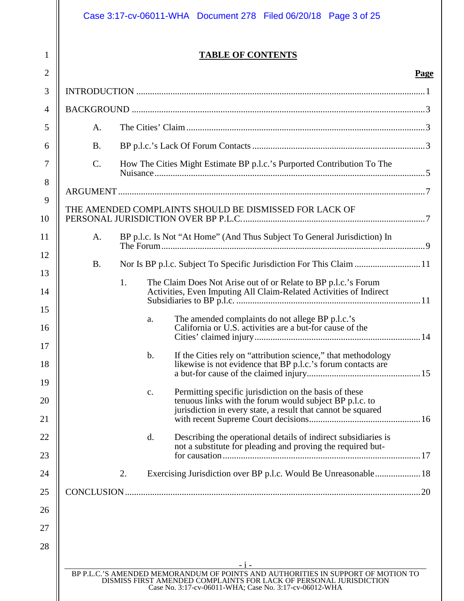# Case 3:17-cv-06011-WHA Document 278 Filed 06/20/18 Page 3 of 25

1

# **TABLE OF CONTENTS**

| ۱O<br>9<br>. (р. |
|------------------|
|                  |

| $\overline{2}$ |                 |    |               |                                                                                                                               | Page |
|----------------|-----------------|----|---------------|-------------------------------------------------------------------------------------------------------------------------------|------|
| 3              |                 |    |               |                                                                                                                               |      |
| $\overline{4}$ |                 |    |               |                                                                                                                               |      |
| 5              | A.              |    |               |                                                                                                                               |      |
| 6              | <b>B.</b>       |    |               |                                                                                                                               |      |
| 7              | $\mathcal{C}$ . |    |               | How The Cities Might Estimate BP p.l.c.'s Purported Contribution To The                                                       |      |
| 8              |                 |    |               |                                                                                                                               |      |
| 9              |                 |    |               |                                                                                                                               |      |
| 10             |                 |    |               | THE AMENDED COMPLAINTS SHOULD BE DISMISSED FOR LACK OF                                                                        |      |
| 11             | A.              |    |               | BP p.l.c. Is Not "At Home" (And Thus Subject To General Jurisdiction) In                                                      |      |
| 12             | <b>B.</b>       |    |               | Nor Is BP p.l.c. Subject To Specific Jurisdiction For This Claim  11                                                          |      |
| 13             |                 | 1. |               | The Claim Does Not Arise out of or Relate to BP p.l.c.'s Forum                                                                |      |
| 14             |                 |    |               | Activities, Even Imputing All Claim-Related Activities of Indirect                                                            |      |
| 15<br>16       |                 |    | a.            | The amended complaints do not allege BP p.l.c.'s<br>California or U.S. activities are a but-for cause of the                  |      |
| 17             |                 |    |               |                                                                                                                               |      |
| 18             |                 |    | $\mathbf b$ . | If the Cities rely on "attribution science," that methodology<br>likewise is not evidence that BP p.l.c.'s forum contacts are |      |
| 19             |                 |    | c.            | Permitting specific jurisdiction on the basis of these                                                                        |      |
| 20             |                 |    |               | tenuous links with the forum would subject BP p.l.c. to<br>jurisdiction in every state, a result that cannot be squared       |      |
| 21             |                 |    |               |                                                                                                                               |      |
| 22             |                 |    | d.            | Describing the operational details of indirect subsidiaries is<br>not a substitute for pleading and proving the required but- |      |
| 23             |                 |    |               |                                                                                                                               |      |
| 24             |                 | 2. |               | Exercising Jurisdiction over BP p.l.c. Would Be Unreasonable 18                                                               |      |
| 25             |                 |    |               |                                                                                                                               |      |
| 26             |                 |    |               |                                                                                                                               |      |
| 27             |                 |    |               |                                                                                                                               |      |
| 28             |                 |    |               |                                                                                                                               |      |
|                |                 |    |               | BP P.L.C.'S AMENDED MEMORANDUM OF POINTS AND AUTHORITIES IN SUPPORT OF MOTION TO                                              |      |
|                |                 |    |               | DISMISS FIRST AMENDED COMPLAINTS FOR LACK OF PERSONAL JURISDICTION<br>Case No. 3:17-cv-06011-WHA; Case No. 3:17-cv-06012-WHA  |      |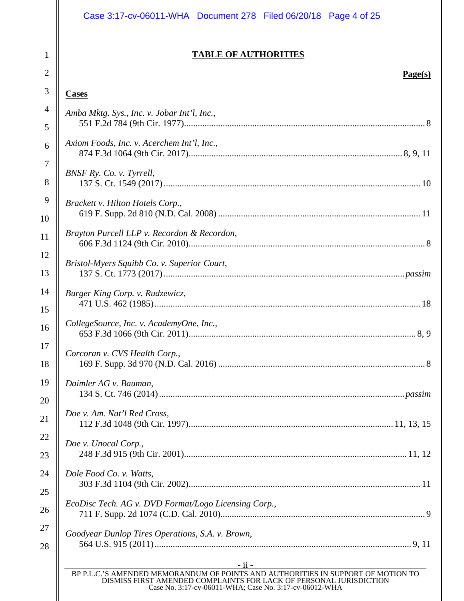# Case 3:17-cv-06011-WHA Document 278 Filed 06/20/18 Page 4 of 25

# **TABLE OF AUTHORITIES**

# **Page(s)**

# **Cases**

1

2

3

| $\overline{4}$ | Amba Mktg. Sys., Inc. v. Jobar Int'l, Inc.,                                                                                                                                                                                        |
|----------------|------------------------------------------------------------------------------------------------------------------------------------------------------------------------------------------------------------------------------------|
| 5              |                                                                                                                                                                                                                                    |
| 6              | Axiom Foods, Inc. v. Acerchem Int'l, Inc.,                                                                                                                                                                                         |
| $\overline{7}$ | BNSF Ry. Co. v. Tyrrell,                                                                                                                                                                                                           |
| 8              |                                                                                                                                                                                                                                    |
| 9              | Brackett v. Hilton Hotels Corp.,                                                                                                                                                                                                   |
| 10             |                                                                                                                                                                                                                                    |
| 11             | Brayton Purcell LLP v. Recordon & Recordon,                                                                                                                                                                                        |
| 12             | Bristol-Myers Squibb Co. v. Superior Court,                                                                                                                                                                                        |
| 13             |                                                                                                                                                                                                                                    |
| 14             | Burger King Corp. v. Rudzewicz,                                                                                                                                                                                                    |
| 15             |                                                                                                                                                                                                                                    |
| 16             | CollegeSource, Inc. v. AcademyOne, Inc.,                                                                                                                                                                                           |
| 17             | Corcoran v. CVS Health Corp.,                                                                                                                                                                                                      |
| 18             |                                                                                                                                                                                                                                    |
| 19             | Daimler AG v. Bauman,                                                                                                                                                                                                              |
| 20             |                                                                                                                                                                                                                                    |
| 21             | Doe v. Am. Nat'l Red Cross,                                                                                                                                                                                                        |
| 22             | Doe v. Unocal Corp.,                                                                                                                                                                                                               |
| 23             |                                                                                                                                                                                                                                    |
| 24             | Dole Food Co. v. Watts,                                                                                                                                                                                                            |
| 25             |                                                                                                                                                                                                                                    |
| 26             | EcoDisc Tech. AG v. DVD Format/Logo Licensing Corp.,                                                                                                                                                                               |
| 27             | Goodyear Dunlop Tires Operations, S.A. v. Brown,                                                                                                                                                                                   |
| 28             |                                                                                                                                                                                                                                    |
|                | <u>- ii - </u><br>BP P.L.C.'S AMENDED MEMORANDUM OF POINTS AND AUTHORITIES IN SUPPORT OF MOTION TO<br>DISMISS FIRST AMENDED COMPLAINTS FOR LACK OF PERSONAL JURISDICTION<br>Case No. 3:17-cv-06011-WHA; Case No. 3:17-cv-06012-WHA |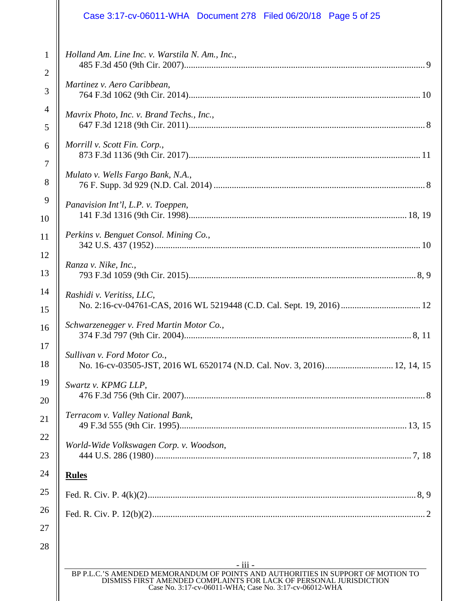# Case 3:17-cv-06011-WHA Document 278 Filed 06/20/18 Page 5 of 25

| $\mathbf{1}$   | Holland Am. Line Inc. v. Warstila N. Am., Inc.,                                                                                                                                                                  |
|----------------|------------------------------------------------------------------------------------------------------------------------------------------------------------------------------------------------------------------|
| $\overline{2}$ |                                                                                                                                                                                                                  |
| 3              | Martinez v. Aero Caribbean,                                                                                                                                                                                      |
| $\overline{4}$ | Mavrix Photo, Inc. v. Brand Techs., Inc.,                                                                                                                                                                        |
| 5              |                                                                                                                                                                                                                  |
| 6              | Morrill v. Scott Fin. Corp.,                                                                                                                                                                                     |
| $\overline{7}$ |                                                                                                                                                                                                                  |
| 8              | Mulato v. Wells Fargo Bank, N.A.,                                                                                                                                                                                |
| 9              | Panavision Int'l, L.P. v. Toeppen,                                                                                                                                                                               |
| 10             |                                                                                                                                                                                                                  |
| 11             | Perkins v. Benguet Consol. Mining Co.,                                                                                                                                                                           |
| 12             |                                                                                                                                                                                                                  |
| 13             | Ranza v. Nike, Inc.,                                                                                                                                                                                             |
| 14             | Rashidi v. Veritiss, LLC,                                                                                                                                                                                        |
| 15             | No. 2:16-cv-04761-CAS, 2016 WL 5219448 (C.D. Cal. Sept. 19, 2016)  12                                                                                                                                            |
| 16             | Schwarzenegger v. Fred Martin Motor Co.,                                                                                                                                                                         |
| 17             | Sullivan v. Ford Motor Co.,                                                                                                                                                                                      |
| 18             | No. 16-cv-03505-JST, 2016 WL 6520174 (N.D. Cal. Nov. 3, 2016) 12, 14, 15                                                                                                                                         |
| 19             | Swartz v. KPMG LLP,                                                                                                                                                                                              |
| 20             |                                                                                                                                                                                                                  |
| 21             | Terracom v. Valley National Bank,                                                                                                                                                                                |
| 22             |                                                                                                                                                                                                                  |
| 23             | World-Wide Volkswagen Corp. v. Woodson,                                                                                                                                                                          |
| 24             | <b>Rules</b>                                                                                                                                                                                                     |
| 25             |                                                                                                                                                                                                                  |
| 26             |                                                                                                                                                                                                                  |
| 27             |                                                                                                                                                                                                                  |
| 28             |                                                                                                                                                                                                                  |
|                | - iii -                                                                                                                                                                                                          |
|                | BP P.L.C.'S AMENDED MEMORANDUM OF POINTS AND AUTHORITIES IN SUPPORT OF MOTION TO<br>DISMISS FIRST AMENDED COMPLAINTS FOR LACK OF PERSONAL JURISDICTION<br>Case No. 3:17-cv-06011-WHA; Case No. 3:17-cv-06012-WHA |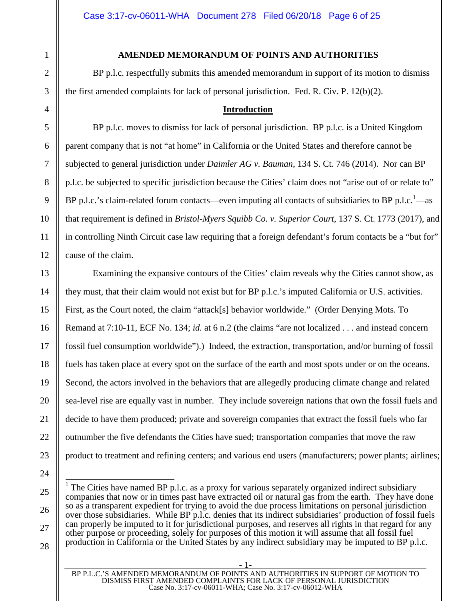#### **AMENDED MEMORANDUM OF POINTS AND AUTHORITIES**

BP p.l.c. respectfully submits this amended memorandum in support of its motion to dismiss the first amended complaints for lack of personal jurisdiction. Fed. R. Civ. P. 12(b)(2).

#### <span id="page-5-3"></span><span id="page-5-2"></span><span id="page-5-1"></span><span id="page-5-0"></span>**Introduction**

BP p.l.c. moves to dismiss for lack of personal jurisdiction. BP p.l.c. is a United Kingdom parent company that is not "at home" in California or the United States and therefore cannot be subjected to general jurisdiction under *Daimler AG v. Bauman*, 134 S. Ct. 746 (2014). Nor can BP p.l.c. be subjected to specific jurisdiction because the Cities' claim does not "arise out of or relate to" BP p.l.c.'s claim-related forum contacts[—](#page-5-4)even imputing all contacts of subsidiaries to BP p.l.c.<sup>1</sup>—as that requirement is defined in *Bristol-Myers Squibb Co. v. Superior Court*, 137 S. Ct. 1773 (2017), and in controlling Ninth Circuit case law requiring that a foreign defendant's forum contacts be a "but for" cause of the claim.

Examining the expansive contours of the Cities' claim reveals why the Cities cannot show, as they must, that their claim would not exist but for BP p.l.c.'s imputed California or U.S. activities. First, as the Court noted, the claim "attack[s] behavior worldwide." (Order Denying Mots. To Remand at 7:10-11, ECF No. 134; *id.* at 6 n.2 (the claims "are not localized . . . and instead concern fossil fuel consumption worldwide").) Indeed, the extraction, transportation, and/or burning of fossil fuels has taken place at every spot on the surface of the earth and most spots under or on the oceans. Second, the actors involved in the behaviors that are allegedly producing climate change and related sea-level rise are equally vast in number. They include sovereign nations that own the fossil fuels and decide to have them produced; private and sovereign companies that extract the fossil fuels who far outnumber the five defendants the Cities have sued; transportation companies that move the raw product to treatment and refining centers; and various end users (manufacturers; power plants; airlines;

BP P.L.C.'S AMENDED MEMORANDUM OF POINTS AND AUTHORITIES IN SUPPORT OF MOTION TO DISMISS FIRST AMENDED COMPLAINTS FOR LACK OF PERSONAL JURISDICTION Case No. 3:17-cv-06011-WHA; Case No. 3:17-cv-06012-WHA

- 1-

<span id="page-5-4"></span><sup>1</sup> The Cities have named BP p.l.c. as a proxy for various separately organized indirect subsidiary companies that now or in times past have extracted oil or natural gas from the earth. They have done so as a transparent expedient for trying to avoid the due process limitations on personal jurisdiction over those subsidiaries. While BP p.l.c. denies that its indirect subsidiaries' production of fossil fuels can properly be imputed to it for jurisdictional purposes, and reserves all rights in that regard for any other purpose or proceeding, solely for purposes of this motion it will assume that all fossil fuel production in California or the United States by any indirect subsidiary may be imputed to BP p.l.c.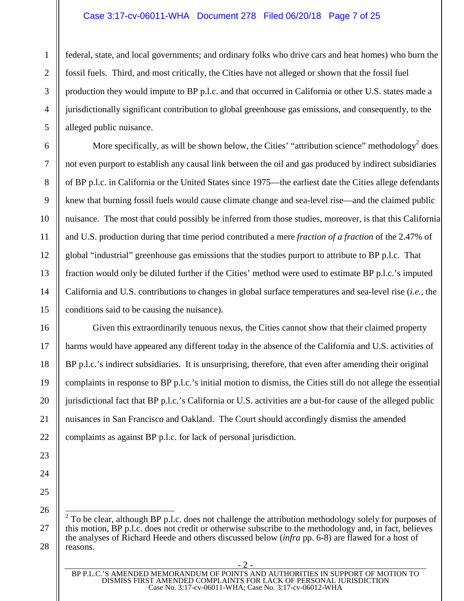#### Case 3:17-cv-06011-WHA Document 278 Filed 06/20/18 Page 7 of 25

federal, state, and local governments; and ordinary folks who drive cars and heat homes) who burn the fossil fuels. Third, and most critically, the Cities have not alleged or shown that the fossil fuel production they would impute to BP p.l.c. and that occurred in California or other U.S. states made a jurisdictionally significant contribution to global greenhouse gas emissions, and consequently, to the alleged public nuisance.

Morespecifically, as will be shown below, the Cities' "attribution science" methodology<sup>2</sup> does not even purport to establish any causal link between the oil and gas produced by indirect subsidiaries of BP p.l.c. in California or the United States since 1975—the earliest date the Cities allege defendants knew that burning fossil fuels would cause climate change and sea-level rise—and the claimed public nuisance. The most that could possibly be inferred from those studies, moreover, is that this California and U.S. production during that time period contributed a mere *fraction of a fraction* of the 2.47% of global "industrial" greenhouse gas emissions that the studies purport to attribute to BP p.l.c. That fraction would only be diluted further if the Cities' method were used to estimate BP p.l.c.'s imputed California and U.S. contributions to changes in global surface temperatures and sea-level rise (*i.e.*, the conditions said to be causing the nuisance).

Given this extraordinarily tenuous nexus, the Cities cannot show that their claimed property harms would have appeared any different today in the absence of the California and U.S. activities of BP p.l.c.'s indirect subsidiaries. It is unsurprising, therefore, that even after amending their original complaints in response to BP p.l.c.'s initial motion to dismiss, the Cities still do not allege the essential jurisdictional fact that BP p.l.c.'s California or U.S. activities are a but-for cause of the alleged public nuisances in San Francisco and Oakland. The Court should accordingly dismiss the amended complaints as against BP p.l.c. for lack of personal jurisdiction.

28

1

2

3

4

5

6

7

8

9

10

11

12

13

14

15

16

17

18

19

20

21

<span id="page-6-0"></span> $2^2$  To be clear, although BP p.l.c. does not challenge the attribution methodology solely for purposes of this motion, BP p.l.c. does not credit or otherwise subscribe to the methodology and, in fact, believes the analyses of Richard Heede and others discussed below (*infra* pp. 6-8) are flawed for a host of reasons.

BP P.L.C.'S AMENDED MEMORANDUM OF POINTS AND AUTHORITIES IN SUPPORT OF MOTION TO DISMISS FIRST AMENDED COMPLAINTS FOR LACK OF PERSONAL JURISDICTION Case No. 3:17-cv-06011-WHA; Case No. 3:17-cv-06012-WHA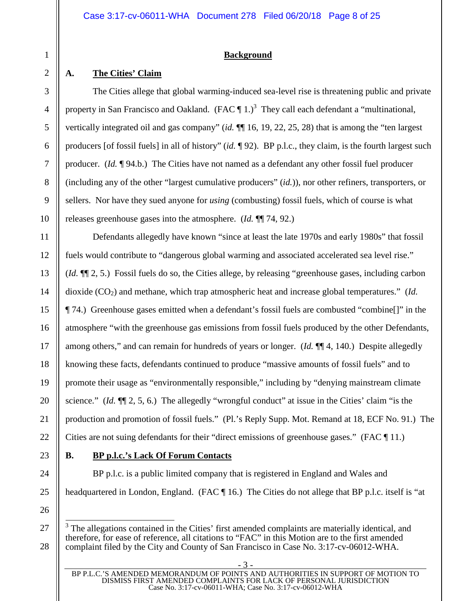#### <span id="page-7-0"></span>**Background**

# <span id="page-7-1"></span>**A. The Cities' Claim**

The Cities allege that global warming-induced sea-level rise is threatening public and private propertyin San Francisco and Oakland. (FAC  $\P$  1.)<sup>3</sup> They call each defendant a "multinational, vertically integrated oil and gas company" (*id.* ¶¶ 16, 19, 22, 25, 28) that is among the "ten largest producers [of fossil fuels] in all of history" (*id.* ¶ 92). BP p.l.c., they claim, is the fourth largest such producer. (*Id.* ¶ 94.b.) The Cities have not named as a defendant any other fossil fuel producer (including any of the other "largest cumulative producers" (*id.*)), nor other refiners, transporters, or sellers. Nor have they sued anyone for *using* (combusting) fossil fuels, which of course is what releases greenhouse gases into the atmosphere. (*Id.* ¶¶ 74, 92.)

Defendants allegedly have known "since at least the late 1970s and early 1980s" that fossil fuels would contribute to "dangerous global warming and associated accelerated sea level rise." (*Id.* ¶¶ 2, 5.) Fossil fuels do so, the Cities allege, by releasing "greenhouse gases, including carbon dioxide (CO<sub>2</sub>) and methane, which trap atmospheric heat and increase global temperatures." (*Id.*) ¶ 74.) Greenhouse gases emitted when a defendant's fossil fuels are combusted "combine[]" in the atmosphere "with the greenhouse gas emissions from fossil fuels produced by the other Defendants, among others," and can remain for hundreds of years or longer. (*Id.* ¶¶ 4, 140.) Despite allegedly knowing these facts, defendants continued to produce "massive amounts of fossil fuels" and to promote their usage as "environmentally responsible," including by "denying mainstream climate science." (*Id.* ¶¶ 2, 5, 6.) The allegedly "wrongful conduct" at issue in the Cities' claim "is the production and promotion of fossil fuels." (Pl.'s Reply Supp. Mot. Remand at 18, ECF No. 91.) The Cities are not suing defendants for their "direct emissions of greenhouse gases." (FAC ¶ 11.)

# <span id="page-7-2"></span>**B. BP p.l.c.'s Lack Of Forum Contacts**

BP p.l.c. is a public limited company that is registered in England and Wales and headquartered in London, England. (FAC ¶ 16.) The Cities do not allege that BP p.l.c. itself is "at

<span id="page-7-3"></span><sup>&</sup>lt;sup>3</sup> The allegations contained in the Cities' first amended complaints are materially identical, and therefore, for ease of reference, all citations to "FAC" in this Motion are to the first amended complaint filed by the City and County of San Francisco in Case No. 3:17-cv-06012-WHA.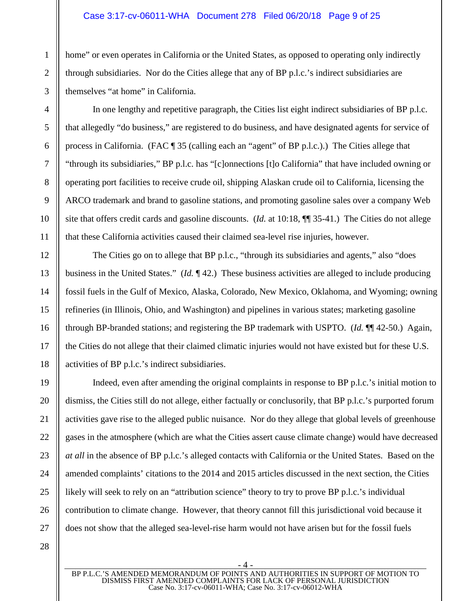#### Case 3:17-cv-06011-WHA Document 278 Filed 06/20/18 Page 9 of 25

home" or even operates in California or the United States, as opposed to operating only indirectly through subsidiaries. Nor do the Cities allege that any of BP p.l.c.'s indirect subsidiaries are themselves "at home" in California.

In one lengthy and repetitive paragraph, the Cities list eight indirect subsidiaries of BP p.l.c. that allegedly "do business," are registered to do business, and have designated agents for service of process in California. (FAC ¶ 35 (calling each an "agent" of BP p.l.c.).) The Cities allege that "through its subsidiaries," BP p.l.c. has "[c]onnections [t]o California" that have included owning or operating port facilities to receive crude oil, shipping Alaskan crude oil to California, licensing the ARCO trademark and brand to gasoline stations, and promoting gasoline sales over a company Web site that offers credit cards and gasoline discounts. (*Id.* at 10:18, ¶¶ 35-41.) The Cities do not allege that these California activities caused their claimed sea-level rise injuries, however.

The Cities go on to allege that BP p.l.c., "through its subsidiaries and agents," also "does business in the United States." (*Id.* ¶ 42.) These business activities are alleged to include producing fossil fuels in the Gulf of Mexico, Alaska, Colorado, New Mexico, Oklahoma, and Wyoming; owning refineries (in Illinois, Ohio, and Washington) and pipelines in various states; marketing gasoline through BP-branded stations; and registering the BP trademark with USPTO. (*Id.* ¶¶ 42-50.) Again, the Cities do not allege that their claimed climatic injuries would not have existed but for these U.S. activities of BP p.l.c.'s indirect subsidiaries.

Indeed, even after amending the original complaints in response to BP p.l.c.'s initial motion to dismiss, the Cities still do not allege, either factually or conclusorily, that BP p.l.c.'s purported forum activities gave rise to the alleged public nuisance. Nor do they allege that global levels of greenhouse gases in the atmosphere (which are what the Cities assert cause climate change) would have decreased *at all* in the absence of BP p.l.c.'s alleged contacts with California or the United States. Based on the amended complaints' citations to the 2014 and 2015 articles discussed in the next section, the Cities likely will seek to rely on an "attribution science" theory to try to prove BP p.l.c.'s individual contribution to climate change. However, that theory cannot fill this jurisdictional void because it does not show that the alleged sea-level-rise harm would not have arisen but for the fossil fuels

- 4 - BP P.L.C.'S AMENDED MEMORANDUM OF POINTS AND AUTHORITIES IN SUPPORT OF MOTION TO DISMISS FIRST AMENDED COMPLAINTS FOR LACK OF PERSONAL JURISDICTION Case No. 3:17-cv-06011-WHA; Case No. 3:17-cv-06012-WHA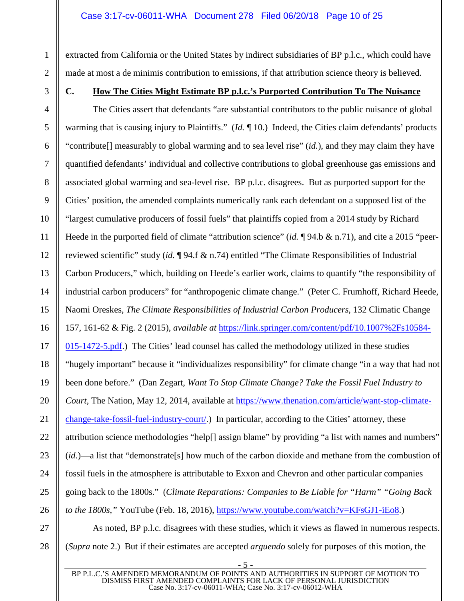extracted from California or the United States by indirect subsidiaries of BP p.l.c., which could have made at most a de minimis contribution to emissions, if that attribution science theory is believed.

# <span id="page-9-0"></span>**C. How The Cities Might Estimate BP p.l.c.'s Purported Contribution To The Nuisance**

The Cities assert that defendants "are substantial contributors to the public nuisance of global warming that is causing injury to Plaintiffs." (*Id.* ¶ 10.) Indeed, the Cities claim defendants' products "contribute[] measurably to global warming and to sea level rise" (*id.*), and they may claim they have quantified defendants' individual and collective contributions to global greenhouse gas emissions and associated global warming and sea-level rise. BP p.l.c. disagrees. But as purported support for the Cities' position, the amended complaints numerically rank each defendant on a supposed list of the "largest cumulative producers of fossil fuels" that plaintiffs copied from a 2014 study by Richard Heede in the purported field of climate "attribution science" (*id.* ¶ 94.b & n.71), and cite a 2015 "peerreviewed scientific" study (*id.* ¶ 94.f & n.74) entitled "The Climate Responsibilities of Industrial Carbon Producers," which, building on Heede's earlier work, claims to quantify "the responsibility of industrial carbon producers" for "anthropogenic climate change." (Peter C. Frumhoff, Richard Heede, Naomi Oreskes, *The Climate Responsibilities of Industrial Carbon Producers*, 132 Climatic Change 157, 161-62 & Fig. 2 (2015), *available at* [https://link.springer.com/content/pdf/10.1007%2Fs10584-](https://link.springer.com/content/pdf/10.1007%2Fs10584-015-1472-5.pdf) [015-1472-5.pdf.\) The Cities' lead counsel has called the methodology utilized in these studies](https://link.springer.com/content/pdf/10.1007%2Fs10584-015-1472-5.pdf)  "hugely important" because it "individualizes responsibility" for climate change "in a way that had not been done before." (Dan Zegart, *Want To Stop Climate Change? Take the Fossil Fuel Industry to Court*, The Nation, May 12, 2014, available at [https://www.thenation.com/article/want-stop-climate](https://www.thenation.com/article/want-stop-climate-change-take-fossil-fuel-industry-court/)[change-take-fossil-fuel-industry-court/.\) In particular, according to the Cities' attorney, these](https://www.thenation.com/article/want-stop-climate-change-take-fossil-fuel-industry-court/)  attribution science methodologies "help[] assign blame" by providing "a list with names and numbers" (*id.*)—a list that "demonstrate[s] how much of the carbon dioxide and methane from the combustion of fossil fuels in the atmosphere is attributable to Exxon and Chevron and other particular companies going back to the 1800s." (*Climate Reparations: Companies to Be Liable for "Harm" "Going Back to the 1800s,*" YouTube (Feb. 18, 2016), [https://www.youtube.com/watch?v=KFsGJ1-iEo8.](https://www.youtube.com/watch?v=KFsGJ1-iEo8))

As noted, BP p.l.c. disagrees with these studies, which it views as flawed in numerous respects. (*Supra* note 2.) But if their estimates are accepted *arguendo* solely for purposes of this motion, the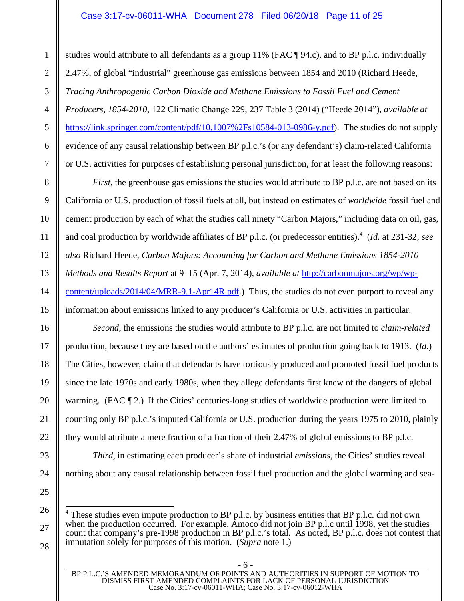#### Case 3:17-cv-06011-WHA Document 278 Filed 06/20/18 Page 11 of 25

studies would attribute to all defendants as a group 11% (FAC ¶ 94.c), and to BP p.l.c. individually 2.47%, of global "industrial" greenhouse gas emissions between 1854 and 2010 (Richard Heede, *Tracing Anthropogenic Carbon Dioxide and Methane Emissions to Fossil Fuel and Cement Producers, 1854-2010*, 122 Climatic Change 229, 237 Table 3 (2014) ("Heede 2014"), *available at* [https://link.springer.com/content/pdf/10.1007%2Fs10584-013-0986-y.pdf\)](https://link.springer.com/content/pdf/10.1007%2Fs10584-013-0986-y.pdf). The studies do not supply evidence of any causal relationship between BP p.l.c.'s (or any defendant's) claim-related California or U.S. activities for purposes of establishing personal jurisdiction, for at least the following reasons:

*First*, the greenhouse gas emissions the studies would attribute to BP p.l.c. are not based on its California or U.S. production of fossil fuels at all, but instead on estimates of *worldwide* fossil fuel and cement production by each of what the studies call ninety "Carbon Majors," including data on oil, gas, andcoal production by worldwide affiliates of BP p.l.c. (or predecessor entities).<sup>4</sup> (*Id.* at 231-32; *see also* Richard Heede, *Carbon Majors: Accounting for Carbon and Methane Emissions 1854-2010 Methods and Results Report* at 9–15 (Apr. 7, 2014), *available at* [http://carbonmajors.org/wp/wp](http://carbonmajors.org/wp/wp-content/uploads/2014/04/MRR-9.1-Apr14R.pdf)[content/uploads/2014/04/MRR-9.1-Apr14R.pdf.\) Thus, the studies do not even purport to reveal any](http://carbonmajors.org/wp/wp-content/uploads/2014/04/MRR-9.1-Apr14R.pdf)  information about emissions linked to any producer's California or U.S. activities in particular.

*Second*, the emissions the studies would attribute to BP p.l.c. are not limited to *claim-related* production, because they are based on the authors' estimates of production going back to 1913. (*Id.*) The Cities, however, claim that defendants have tortiously produced and promoted fossil fuel products since the late 1970s and early 1980s, when they allege defendants first knew of the dangers of global warming. (FAC  $\llbracket 2$ .) If the Cities' centuries-long studies of worldwide production were limited to counting only BP p.l.c.'s imputed California or U.S. production during the years 1975 to 2010, plainly they would attribute a mere fraction of a fraction of their 2.47% of global emissions to BP p.l.c.

*Third*, in estimating each producer's share of industrial *emissions*, the Cities' studies reveal nothing about any causal relationship between fossil fuel production and the global warming and sea-

<span id="page-10-0"></span> $4$  These studies even impute production to BP p.l.c. by business entities that BP p.l.c. did not own when the production occurred. For example, Amoco did not join BP p.l.c until 1998, yet the studies count that company's pre-1998 production in BP p.l.c.'s total. As noted, BP p.l.c. does not contest that imputation solely for purposes of this motion. (*Supra* note 1.)

BP P.L.C.'S AMENDED MEMORANDUM OF POINTS AND AUTHORITIES IN SUPPORT OF MOTION TO DISMISS FIRST AMENDED COMPLAINTS FOR LACK OF PERSONAL JURISDICTION Case No. 3:17-cv-06011-WHA; Case No. 3:17-cv-06012-WHA

- 6 -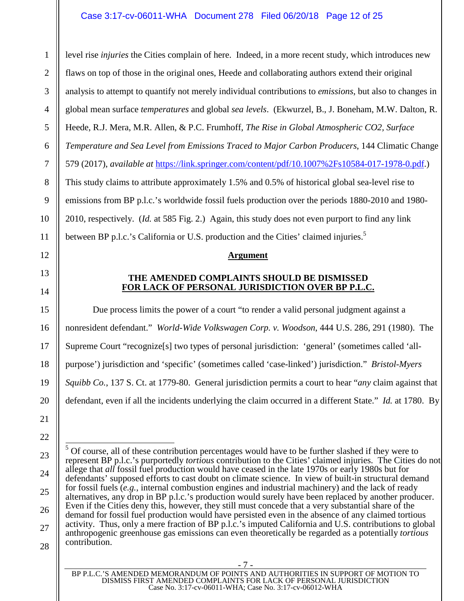level rise *injuries* the Cities complain of here. Indeed, in a more recent study, which introduces new flaws on top of those in the original ones, Heede and collaborating authors extend their original analysis to attempt to quantify not merely individual contributions to *emissions*, but also to changes in global mean surface *temperatures* and global *sea levels*. (Ekwurzel, B., J. Boneham, M.W. Dalton, R. Heede, R.J. Mera, M.R. Allen, & P.C. Frumhoff, *The Rise in Global Atmospheric CO2, Surface Temperature and Sea Level from Emissions Traced to Major Carbon Producers*, 144 Climatic Change 579 (2017), *available at* [https://link.springer.com/content/pdf/10.1007%2Fs10584-017-1978-0.pdf.](https://link.springer.com/content/pdf/10.1007%2Fs10584-017-1978-0.pdf)) This study claims to attribute approximately 1.5% and 0.5% of historical global sea-level rise to emissions from BP p.l.c.'s worldwide fossil fuels production over the periods 1880-2010 and 1980- 2010, respectively. (*Id.* at 585 Fig. 2.) Again, this study does not even purport to find any link between BP p.l.c.'s California or U.S. production and the Cities' claimed injuries. $\overline{5}$  $\overline{5}$  $\overline{5}$ 

#### <span id="page-11-0"></span>**Argument**

#### <span id="page-11-1"></span>**THE AMENDED COMPLAINTS SHOULD BE DISMISSED FOR LACK OF PERSONAL JURISDICTION OVER BP P.L.C.**

Due process limits the power of a court "to render a valid personal judgment against a nonresident defendant." *World-Wide Volkswagen Corp. v. Woodson*, 444 U.S. 286, 291 (1980). The Supreme Court "recognize[s] two types of personal jurisdiction: 'general' (sometimes called 'allpurpose') jurisdiction and 'specific' (sometimes called 'case-linked') jurisdiction." *Bristol-Myers Squibb Co.*, 137 S. Ct. at 1779-80. General jurisdiction permits a court to hear "*any* claim against that defendant, even if all the incidents underlying the claim occurred in a different State." *Id.* at 1780. By

1

 $\mathfrak{D}$ 

3

4

5

6

7

- 7 -

<span id="page-11-2"></span> $<sup>5</sup>$  Of course, all of these contribution percentages would have to be further slashed if they were to</sup> represent BP p.l.c.'s purportedly *tortious* contribution to the Cities' claimed injuries. The Cities do not allege that *all* fossil fuel production would have ceased in the late 1970s or early 1980s but for defendants' supposed efforts to cast doubt on climate science. In view of built-in structural demand for fossil fuels (*e.g.*, internal combustion engines and industrial machinery) and the lack of ready alternatives, any drop in BP p.l.c.'s production would surely have been replaced by another producer. Even if the Cities deny this, however, they still must concede that a very substantial share of the demand for fossil fuel production would have persisted even in the absence of any claimed tortious activity. Thus, only a mere fraction of BP p.l.c.'s imputed California and U.S. contributions to global anthropogenic greenhouse gas emissions can even theoretically be regarded as a potentially *tortious* contribution.

BP P.L.C.'S AMENDED MEMORANDUM OF POINTS AND AUTHORITIES IN SUPPORT OF MOTION TO DISMISS FIRST AMENDED COMPLAINTS FOR LACK OF PERSONAL JURISDICTION Case No. 3:17-cv-06011-WHA; Case No. 3:17-cv-06012-WHA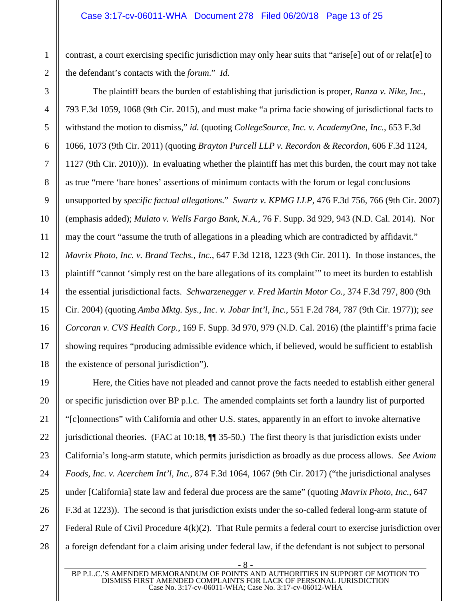contrast, a court exercising specific jurisdiction may only hear suits that "arise[e] out of or relat[e] to the defendant's contacts with the *forum*." *Id.*

<span id="page-12-2"></span><span id="page-12-1"></span>The plaintiff bears the burden of establishing that jurisdiction is proper, *Ranza v. Nike, Inc.*, 793 F.3d 1059, 1068 (9th Cir. 2015), and must make "a prima facie showing of jurisdictional facts to withstand the motion to dismiss," *id.* (quoting *CollegeSource, Inc. v. AcademyOne, Inc.*, 653 F.3d 1066, 1073 (9th Cir. 2011) (quoting *Brayton Purcell LLP v. Recordon & Recordon*, 606 F.3d 1124, 1127 (9th Cir. 2010))). In evaluating whether the plaintiff has met this burden, the court may not take as true "mere 'bare bones' assertions of minimum contacts with the forum or legal conclusions unsupported by *specific factual allegations*." *Swartz v. KPMG LLP*, 476 F.3d 756, 766 (9th Cir. 2007) (emphasis added); *Mulato v. Wells Fargo Bank, N.A.*, 76 F. Supp. 3d 929, 943 (N.D. Cal. 2014). Nor may the court "assume the truth of allegations in a pleading which are contradicted by affidavit." *Mavrix Photo, Inc. v. Brand Techs., Inc.*, 647 F.3d 1218, 1223 (9th Cir. 2011). In those instances, the plaintiff "cannot 'simply rest on the bare allegations of its complaint'" to meet its burden to establish the essential jurisdictional facts. *Schwarzenegger v. Fred Martin Motor Co.*, 374 F.3d 797, 800 (9th Cir. 2004) (quoting *Amba Mktg. Sys., Inc. v. Jobar Int'l, Inc.*, 551 F.2d 784, 787 (9th Cir. 1977)); *see Corcoran v. CVS Health Corp.*, 169 F. Supp. 3d 970, 979 (N.D. Cal. 2016) (the plaintiff's prima facie showing requires "producing admissible evidence which, if believed, would be sufficient to establish the existence of personal jurisdiction").

Here, the Cities have not pleaded and cannot prove the facts needed to establish either general or specific jurisdiction over BP p.l.c. The amended complaints set forth a laundry list of purported "[c]onnections" with California and other U.S. states, apparently in an effort to invoke alternative jurisdictional theories. (FAC at 10:18, ¶¶ 35-50.) The first theory is that jurisdiction exists under California's long-arm statute, which permits jurisdiction as broadly as due process allows. *See Axiom Foods, Inc. v. Acerchem Int'l, Inc.*, 874 F.3d 1064, 1067 (9th Cir. 2017) ("the jurisdictional analyses under [California] state law and federal due process are the same" (quoting *Mavrix Photo, Inc.*, 647 F.3d at 1223)). The second is that jurisdiction exists under the so-called federal long-arm statute of Federal Rule of Civil Procedure 4(k)(2). That Rule permits a federal court to exercise jurisdiction over a foreign defendant for a claim arising under federal law, if the defendant is not subject to personal

BP P.L.C.'S AMENDED MEMORANDUM OF POINTS AND AUTHORITIES IN SUPPORT OF MOTION TO DISMISS FIRST AMENDED COMPLAINTS FOR LACK OF PERSONAL JURISDICTION Case No. 3:17-cv-06011-WHA; Case No. 3:17-cv-06012-WHA

<span id="page-12-0"></span>- 8 -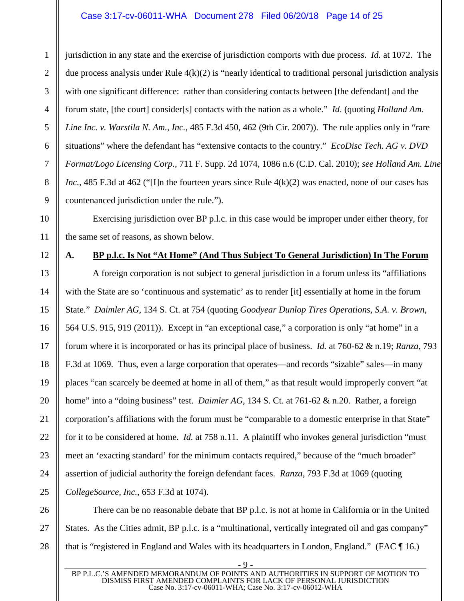#### <span id="page-13-2"></span><span id="page-13-1"></span>Case 3:17-cv-06011-WHA Document 278 Filed 06/20/18 Page 14 of 25

jurisdiction in any state and the exercise of jurisdiction comports with due process. *Id.* at 1072. The due process analysis under Rule  $4(k)(2)$  is "nearly identical to traditional personal jurisdiction analysis with one significant difference: rather than considering contacts between [the defendant] and the forum state, [the court] consider[s] contacts with the nation as a whole." *Id.* (quoting *Holland Am. Line Inc. v. Warstila N. Am., Inc.*, 485 F.3d 450, 462 (9th Cir. 2007)). The rule applies only in "rare situations" where the defendant has "extensive contacts to the country." *EcoDisc Tech. AG v. DVD Format/Logo Licensing Corp.*, 711 F. Supp. 2d 1074, 1086 n.6 (C.D. Cal. 2010); *see Holland Am. Line Inc.*, 485 F.3d at 462 ("I]n the fourteen years since Rule  $4(k)(2)$  was enacted, none of our cases has countenanced jurisdiction under the rule.").

Exercising jurisdiction over BP p.l.c. in this case would be improper under either theory, for the same set of reasons, as shown below.

#### <span id="page-13-0"></span>**A. BP p.l.c. Is Not "At Home" (And Thus Subject To General Jurisdiction) In The Forum**

A foreign corporation is not subject to general jurisdiction in a forum unless its "affiliations with the State are so 'continuous and systematic' as to render [it] essentially at home in the forum State." *Daimler AG*, 134 S. Ct. at 754 (quoting *Goodyear Dunlop Tires Operations, S.A. v. Brown*, 564 U.S. 915, 919 (2011)). Except in "an exceptional case," a corporation is only "at home" in a forum where it is incorporated or has its principal place of business. *Id.* at 760-62 & n.19; *Ranza*, 793 F.3d at 1069. Thus, even a large corporation that operates—and records "sizable" sales—in many places "can scarcely be deemed at home in all of them," as that result would improperly convert "at home" into a "doing business" test. *Daimler AG*, 134 S. Ct. at 761-62 & n.20. Rather, a foreign corporation's affiliations with the forum must be "comparable to a domestic enterprise in that State" for it to be considered at home. *Id.* at 758 n.11. A plaintiff who invokes general jurisdiction "must meet an 'exacting standard' for the minimum contacts required," because of the "much broader" assertion of judicial authority the foreign defendant faces. *Ranza*, 793 F.3d at 1069 (quoting *CollegeSource, Inc.*, 653 F.3d at 1074).

There can be no reasonable debate that BP p.l.c. is not at home in California or in the United States. As the Cities admit, BP p.l.c. is a "multinational, vertically integrated oil and gas company" that is "registered in England and Wales with its headquarters in London, England." (FAC ¶ 16.)

1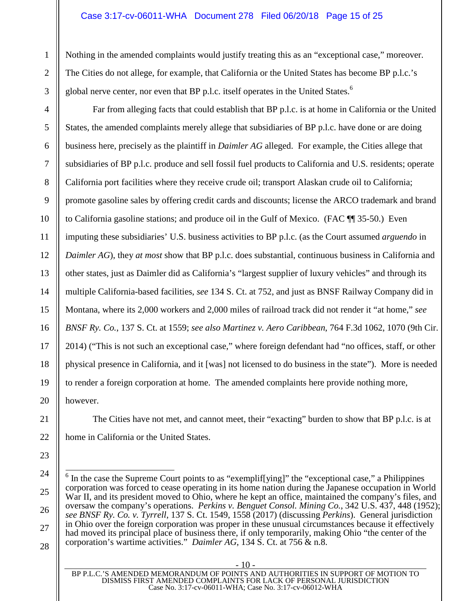#### Case 3:17-cv-06011-WHA Document 278 Filed 06/20/18 Page 15 of 25

Nothing in the amended complaints would justify treating this as an "exceptional case," moreover. The Cities do not allege, for example, that California or the United States has become BP p.l.c.'s global nerve center, nor even that BP p.l.c. itself operates in the United States.<sup>[6](#page-14-3)</sup>

Far from alleging facts that could establish that BP p.l.c. is at home in California or the United States, the amended complaints merely allege that subsidiaries of BP p.l.c. have done or are doing business here, precisely as the plaintiff in *Daimler AG* alleged. For example, the Cities allege that subsidiaries of BP p.l.c. produce and sell fossil fuel products to California and U.S. residents; operate California port facilities where they receive crude oil; transport Alaskan crude oil to California; promote gasoline sales by offering credit cards and discounts; license the ARCO trademark and brand to California gasoline stations; and produce oil in the Gulf of Mexico. (FAC ¶¶ 35-50.) Even imputing these subsidiaries' U.S. business activities to BP p.l.c. (as the Court assumed *arguendo* in *Daimler AG*), they *at most* show that BP p.l.c. does substantial, continuous business in California and other states, just as Daimler did as California's "largest supplier of luxury vehicles" and through its multiple California-based facilities, *see* 134 S. Ct. at 752, and just as BNSF Railway Company did in Montana, where its 2,000 workers and 2,000 miles of railroad track did not render it "at home," *see BNSF Ry. Co.*, 137 S. Ct. at 1559; *see also Martinez v. Aero Caribbean*, 764 F.3d 1062, 1070 (9th Cir. 2014) ("This is not such an exceptional case," where foreign defendant had "no offices, staff, or other physical presence in California, and it [was] not licensed to do business in the state"). More is needed to render a foreign corporation at home. The amended complaints here provide nothing more, however.

<span id="page-14-1"></span>The Cities have not met, and cannot meet, their "exacting" burden to show that BP p.l.c. is at home in California or the United States.

<span id="page-14-2"></span>- 10 -

<span id="page-14-3"></span><span id="page-14-0"></span> $6$  In the case the Supreme Court points to as "exemplif[ying]" the "exceptional case," a Philippines corporation was forced to cease operating in its home nation during the Japanese occupation in World War II, and its president moved to Ohio, where he kept an office, maintained the company's files, and oversaw the company's operations. *Perkins v. Benguet Consol. Mining Co.*, 342 U.S. 437, 448 (1952); *see BNSF Ry. Co. v. Tyrrell*, 137 S. Ct. 1549, 1558 (2017) (discussing *Perkins*). General jurisdiction in Ohio over the foreign corporation was proper in these unusual circumstances because it effectively had moved its principal place of business there, if only temporarily, making Ohio "the center of the corporation's wartime activities." *Daimler AG*, 134 S. Ct. at 756 & n.8.

BP P.L.C.'S AMENDED MEMORANDUM OF POINTS AND AUTHORITIES IN SUPPORT OF MOTION TO DISMISS FIRST AMENDED COMPLAINTS FOR LACK OF PERSONAL JURISDICTION Case No. 3:17-cv-06011-WHA; Case No. 3:17-cv-06012-WHA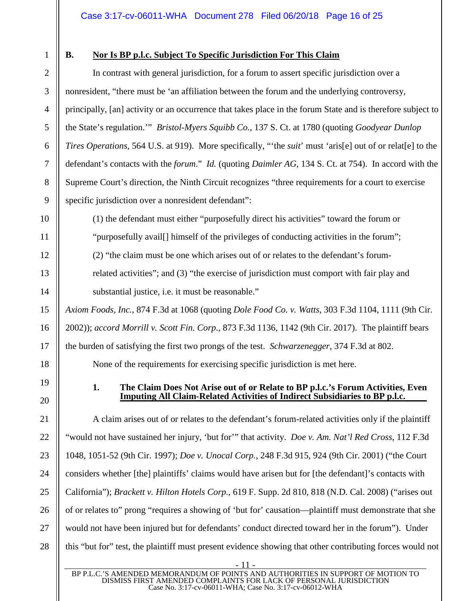1

2

3

4

5

6

7

8

9

10

11

12

13

14

15

16

17

18

19

20

21

22

23

<span id="page-15-2"></span>24

25

26

27

28

# <span id="page-15-0"></span>**B. Nor Is BP p.l.c. Subject To Specific Jurisdiction For This Claim**

In contrast with general jurisdiction, for a forum to assert specific jurisdiction over a nonresident, "there must be 'an affiliation between the forum and the underlying controversy, principally, [an] activity or an occurrence that takes place in the forum State and is therefore subject to the State's regulation.'" *Bristol-Myers Squibb Co.*, 137 S. Ct. at 1780 (quoting *Goodyear Dunlop Tires Operations*, 564 U.S. at 919). More specifically, "'the *suit*' must 'aris[e] out of or relat[e] to the defendant's contacts with the *forum*." *Id.* (quoting *Daimler AG*, 134 S. Ct. at 754). In accord with the Supreme Court's direction, the Ninth Circuit recognizes "three requirements for a court to exercise specific jurisdiction over a nonresident defendant":

<span id="page-15-6"></span>(1) the defendant must either "purposefully direct his activities" toward the forum or "purposefully avail[] himself of the privileges of conducting activities in the forum";

(2) "the claim must be one which arises out of or relates to the defendant's forum-

<span id="page-15-5"></span>related activities"; and (3) "the exercise of jurisdiction must comport with fair play and substantial justice, i.e. it must be reasonable."

*Axiom Foods, Inc.*, 874 F.3d at 1068 (quoting *Dole Food Co. v. Watts*, 303 F.3d 1104, 1111 (9th Cir. 2002)); *accord Morrill v. Scott Fin. Corp.*, 873 F.3d 1136, 1142 (9th Cir. 2017). The plaintiff bears the burden of satisfying the first two prongs of the test. *Schwarzenegger*, 374 F.3d at 802.

<span id="page-15-7"></span>None of the requirements for exercising specific jurisdiction is met here.

#### <span id="page-15-8"></span><span id="page-15-4"></span><span id="page-15-1"></span>**1. The Claim Does Not Arise out of or Relate to BP p.l.c.'s Forum Activities, Even Imputing All Claim-Related Activities of Indirect Subsidiaries to BP p.l.c.**

A claim arises out of or relates to the defendant's forum-related activities only if the plaintiff "would not have sustained her injury, 'but for'" that activity. *Doe v. Am. Nat'l Red Cross*, 112 F.3d 1048, 1051-52 (9th Cir. 1997); *Doe v. Unocal Corp.*, 248 F.3d 915, 924 (9th Cir. 2001) ("the Court considers whether [the] plaintiffs' claims would have arisen but for [the defendant]'s contacts with California"); *Brackett v. Hilton Hotels Corp.*, 619 F. Supp. 2d 810, 818 (N.D. Cal. 2008) ("arises out of or relates to" prong "requires a showing of 'but for' causation—plaintiff must demonstrate that she would not have been injured but for defendants' conduct directed toward her in the forum"). Under this "but for" test, the plaintiff must present evidence showing that other contributing forces would not

<span id="page-15-3"></span>- 11 -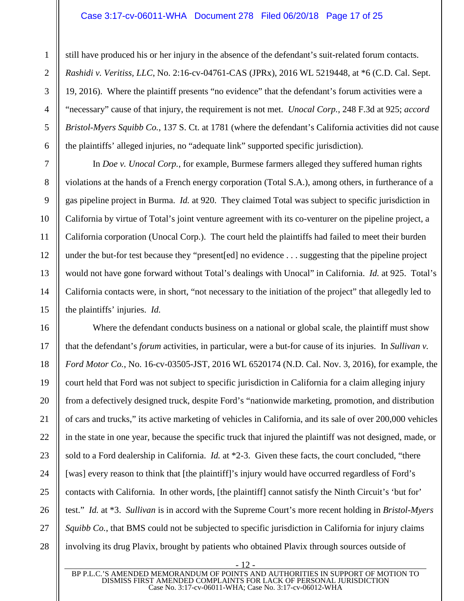# <span id="page-16-0"></span>Case 3:17-cv-06011-WHA Document 278 Filed 06/20/18 Page 17 of 25

<span id="page-16-1"></span>still have produced his or her injury in the absence of the defendant's suit-related forum contacts. *Rashidi v. Veritiss, LLC*, No. 2:16-cv-04761-CAS (JPRx), 2016 WL 5219448, at \*6 (C.D. Cal. Sept. 19, 2016). Where the plaintiff presents "no evidence" that the defendant's forum activities were a "necessary" cause of that injury, the requirement is not met. *Unocal Corp.*, 248 F.3d at 925; *accord Bristol-Myers Squibb Co.*, 137 S. Ct. at 1781 (where the defendant's California activities did not cause the plaintiffs' alleged injuries, no "adequate link" supported specific jurisdiction).

In *Doe v. Unocal Corp.*, for example, Burmese farmers alleged they suffered human rights violations at the hands of a French energy corporation (Total S.A.), among others, in furtherance of a gas pipeline project in Burma. *Id.* at 920. They claimed Total was subject to specific jurisdiction in California by virtue of Total's joint venture agreement with its co-venturer on the pipeline project, a California corporation (Unocal Corp.). The court held the plaintiffs had failed to meet their burden under the but-for test because they "present[ed] no evidence . . . suggesting that the pipeline project would not have gone forward without Total's dealings with Unocal" in California. *Id.* at 925. Total's California contacts were, in short, "not necessary to the initiation of the project" that allegedly led to the plaintiffs' injuries. *Id.*

Where the defendant conducts business on a national or global scale, the plaintiff must show that the defendant's *forum* activities, in particular, were a but-for cause of its injuries. In *Sullivan v. Ford Motor Co.*, No. 16-cv-03505-JST, 2016 WL 6520174 (N.D. Cal. Nov. 3, 2016), for example, the court held that Ford was not subject to specific jurisdiction in California for a claim alleging injury from a defectively designed truck, despite Ford's "nationwide marketing, promotion, and distribution of cars and trucks," its active marketing of vehicles in California, and its sale of over 200,000 vehicles in the state in one year, because the specific truck that injured the plaintiff was not designed, made, or sold to a Ford dealership in California. *Id.* at \*2-3. Given these facts, the court concluded, "there [was] every reason to think that [the plaintiff]'s injury would have occurred regardless of Ford's contacts with California. In other words, [the plaintiff] cannot satisfy the Ninth Circuit's 'but for' test." *Id.* at \*3. *Sullivan* is in accord with the Supreme Court's more recent holding in *Bristol-Myers Squibb Co.*, that BMS could not be subjected to specific jurisdiction in California for injury claims involving its drug Plavix, brought by patients who obtained Plavix through sources outside of

<span id="page-16-2"></span>- 12 -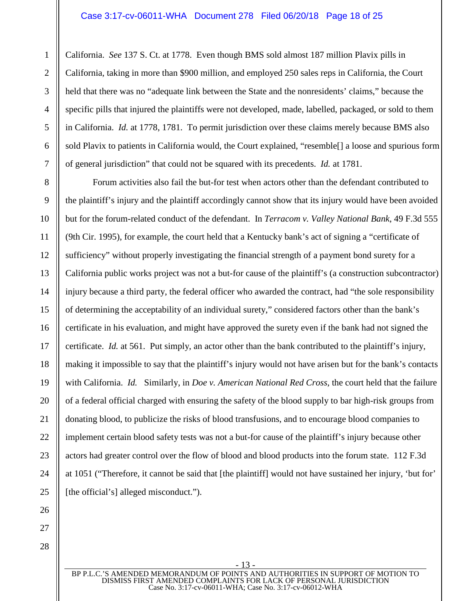California. *See* 137 S. Ct. at 1778. Even though BMS sold almost 187 million Plavix pills in California, taking in more than \$900 million, and employed 250 sales reps in California, the Court held that there was no "adequate link between the State and the nonresidents' claims," because the specific pills that injured the plaintiffs were not developed, made, labelled, packaged, or sold to them in California. *Id.* at 1778, 1781. To permit jurisdiction over these claims merely because BMS also sold Plavix to patients in California would, the Court explained, "resemble[] a loose and spurious form of general jurisdiction" that could not be squared with its precedents. *Id.* at 1781.

<span id="page-17-0"></span>Forum activities also fail the but-for test when actors other than the defendant contributed to the plaintiff's injury and the plaintiff accordingly cannot show that its injury would have been avoided but for the forum-related conduct of the defendant. In *Terracom v. Valley National Bank*, 49 F.3d 555 (9th Cir. 1995), for example, the court held that a Kentucky bank's act of signing a "certificate of sufficiency" without properly investigating the financial strength of a payment bond surety for a California public works project was not a but-for cause of the plaintiff's (a construction subcontractor) injury because a third party, the federal officer who awarded the contract, had "the sole responsibility of determining the acceptability of an individual surety," considered factors other than the bank's certificate in his evaluation, and might have approved the surety even if the bank had not signed the certificate. *Id.* at 561. Put simply, an actor other than the bank contributed to the plaintiff's injury, making it impossible to say that the plaintiff's injury would not have arisen but for the bank's contacts with California. *Id.* Similarly, in *Doe v. American National Red Cross*, the court held that the failure of a federal official charged with ensuring the safety of the blood supply to bar high-risk groups from donating blood, to publicize the risks of blood transfusions, and to encourage blood companies to implement certain blood safety tests was not a but-for cause of the plaintiff's injury because other actors had greater control over the flow of blood and blood products into the forum state. 112 F.3d at 1051 ("Therefore, it cannot be said that [the plaintiff] would not have sustained her injury, 'but for' [the official's] alleged misconduct.").

BP P.L.C.'S AMENDED MEMORANDUM OF POINTS AND AUTHORITIES IN SUPPORT OF MOTION TO DISMISS FIRST AMENDED COMPLAINTS FOR LACK OF PERSONAL JURISDICTION Case No. 3:17-cv-06011-WHA; Case No. 3:17-cv-06012-WHA

- 13 -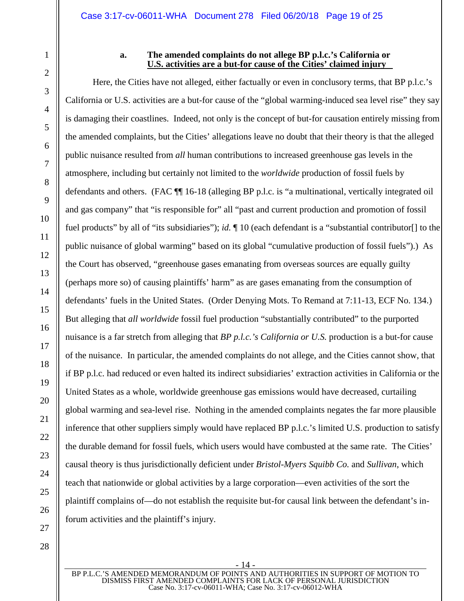1

2

3

4

5

6

7

8

9

10

11

12

13

14

15

#### <span id="page-18-0"></span>**a. The amended complaints do not allege BP p.l.c.'s California or U.S. activities are a but-for cause of the Cities' claimed injury**

Here, the Cities have not alleged, either factually or even in conclusory terms, that BP p.l.c.'s California or U.S. activities are a but-for cause of the "global warming-induced sea level rise" they say is damaging their coastlines. Indeed, not only is the concept of but-for causation entirely missing from the amended complaints, but the Cities' allegations leave no doubt that their theory is that the alleged public nuisance resulted from *all* human contributions to increased greenhouse gas levels in the atmosphere, including but certainly not limited to the *worldwide* production of fossil fuels by defendants and others. (FAC ¶¶ 16-18 (alleging BP p.l.c. is "a multinational, vertically integrated oil and gas company" that "is responsible for" all "past and current production and promotion of fossil fuel products" by all of "its subsidiaries"); *id.* ¶ 10 (each defendant is a "substantial contributor[] to the public nuisance of global warming" based on its global "cumulative production of fossil fuels").) As the Court has observed, "greenhouse gases emanating from overseas sources are equally guilty (perhaps more so) of causing plaintiffs' harm" as are gases emanating from the consumption of defendants' fuels in the United States. (Order Denying Mots. To Remand at 7:11-13, ECF No. 134.) But alleging that *all worldwide* fossil fuel production "substantially contributed" to the purported nuisance is a far stretch from alleging that *BP p.l.c.'s California or U.S.* production is a but-for cause of the nuisance. In particular, the amended complaints do not allege, and the Cities cannot show, that if BP p.l.c. had reduced or even halted its indirect subsidiaries' extraction activities in California or the United States as a whole, worldwide greenhouse gas emissions would have decreased, curtailing global warming and sea-level rise. Nothing in the amended complaints negates the far more plausible inference that other suppliers simply would have replaced BP p.l.c.'s limited U.S. production to satisfy the durable demand for fossil fuels, which users would have combusted at the same rate. The Cities' causal theory is thus jurisdictionally deficient under *Bristol-Myers Squibb Co.* and *Sullivan*, which teach that nationwide or global activities by a large corporation—even activities of the sort the plaintiff complains of—do not establish the requisite but-for causal link between the defendant's inforum activities and the plaintiff's injury.

BP P.L.C.'S AMENDED MEMORANDUM OF POINTS AND AUTHORITIES IN SUPPORT OF MOTION TO DISMISS FIRST AMENDED COMPLAINTS FOR LACK OF PERSONAL JURISDICTION Case No. 3:17-cv-06011-WHA; Case No. 3:17-cv-06012-WHA

<span id="page-18-1"></span>- 14 -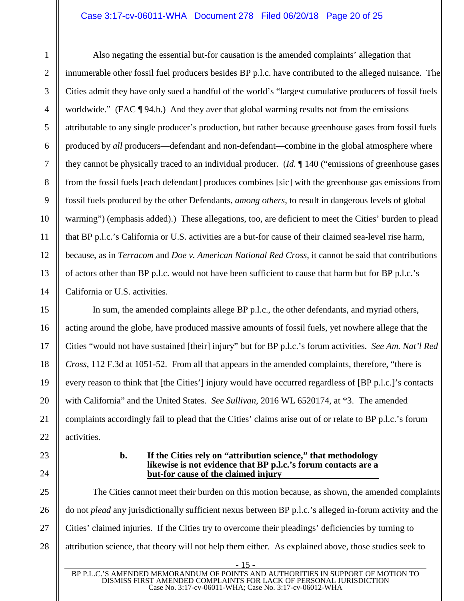#### Case 3:17-cv-06011-WHA Document 278 Filed 06/20/18 Page 20 of 25

Also negating the essential but-for causation is the amended complaints' allegation that innumerable other fossil fuel producers besides BP p.l.c. have contributed to the alleged nuisance. The Cities admit they have only sued a handful of the world's "largest cumulative producers of fossil fuels worldwide." (FAC ¶ 94.b.) And they aver that global warming results not from the emissions attributable to any single producer's production, but rather because greenhouse gases from fossil fuels produced by *all* producers—defendant and non-defendant—combine in the global atmosphere where they cannot be physically traced to an individual producer. (*Id.* ¶ 140 ("emissions of greenhouse gases from the fossil fuels [each defendant] produces combines [sic] with the greenhouse gas emissions from fossil fuels produced by the other Defendants, *among others*, to result in dangerous levels of global warming") (emphasis added).) These allegations, too, are deficient to meet the Cities' burden to plead that BP p.l.c.'s California or U.S. activities are a but-for cause of their claimed sea-level rise harm, because, as in *Terracom* and *Doe v. American National Red Cross*, it cannot be said that contributions of actors other than BP p.l.c. would not have been sufficient to cause that harm but for BP p.l.c.'s California or U.S. activities.

<span id="page-19-3"></span><span id="page-19-1"></span>In sum, the amended complaints allege BP p.l.c., the other defendants, and myriad others, acting around the globe, have produced massive amounts of fossil fuels, yet nowhere allege that the Cities "would not have sustained [their] injury" but for BP p.l.c.'s forum activities. *See Am. Nat'l Red Cross*, 112 F.3d at 1051-52. From all that appears in the amended complaints, therefore, "there is every reason to think that [the Cities'] injury would have occurred regardless of [BP p.l.c.]'s contacts with California" and the United States. *See Sullivan*, 2016 WL 6520174, at \*3. The amended complaints accordingly fail to plead that the Cities' claims arise out of or relate to BP p.l.c.'s forum activities.

#### <span id="page-19-2"></span><span id="page-19-0"></span>**b. If the Cities rely on "attribution science," that methodology likewise is not evidence that BP p.l.c.'s forum contacts are a but-for cause of the claimed injury**

The Cities cannot meet their burden on this motion because, as shown, the amended complaints do not *plead* any jurisdictionally sufficient nexus between BP p.l.c.'s alleged in-forum activity and the Cities' claimed injuries. If the Cities try to overcome their pleadings' deficiencies by turning to attribution science, that theory will not help them either. As explained above, those studies seek to

- 15 -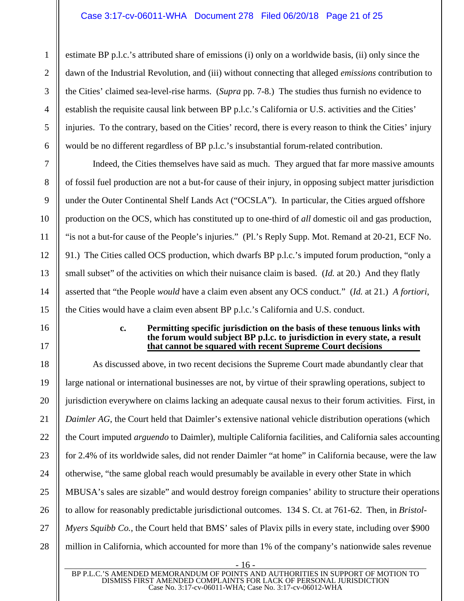# Case 3:17-cv-06011-WHA Document 278 Filed 06/20/18 Page 21 of 25

estimate BP p.l.c.'s attributed share of emissions (i) only on a worldwide basis, (ii) only since the dawn of the Industrial Revolution, and (iii) without connecting that alleged *emissions* contribution to the Cities' claimed sea-level-rise harms. (*Supra* pp. 7-8.) The studies thus furnish no evidence to establish the requisite causal link between BP p.l.c.'s California or U.S. activities and the Cities' injuries. To the contrary, based on the Cities' record, there is every reason to think the Cities' injury would be no different regardless of BP p.l.c.'s insubstantial forum-related contribution.

Indeed, the Cities themselves have said as much. They argued that far more massive amounts of fossil fuel production are not a but-for cause of their injury, in opposing subject matter jurisdiction under the Outer Continental Shelf Lands Act ("OCSLA"). In particular, the Cities argued offshore production on the OCS, which has constituted up to one-third of *all* domestic oil and gas production, "is not a but-for cause of the People's injuries." (Pl.'s Reply Supp. Mot. Remand at 20-21, ECF No. 91.) The Cities called OCS production, which dwarfs BP p.l.c.'s imputed forum production, "only a small subset" of the activities on which their nuisance claim is based. (*Id.* at 20.) And they flatly asserted that "the People *would* have a claim even absent any OCS conduct." (*Id.* at 21.) *A fortiori*, the Cities would have a claim even absent BP p.l.c.'s California and U.S. conduct.

#### <span id="page-20-0"></span>**c. Permitting specific jurisdiction on the basis of these tenuous links with the forum would subject BP p.l.c. to jurisdiction in every state, a result that cannot be squared with recent Supreme Court decisions**

As discussed above, in two recent decisions the Supreme Court made abundantly clear that large national or international businesses are not, by virtue of their sprawling operations, subject to jurisdiction everywhere on claims lacking an adequate causal nexus to their forum activities. First, in *Daimler AG*, the Court held that Daimler's extensive national vehicle distribution operations (which the Court imputed *arguendo* to Daimler), multiple California facilities, and California sales accounting for 2.4% of its worldwide sales, did not render Daimler "at home" in California because, were the law otherwise, "the same global reach would presumably be available in every other State in which MBUSA's sales are sizable" and would destroy foreign companies' ability to structure their operations to allow for reasonably predictable jurisdictional outcomes. 134 S. Ct. at 761-62. Then, in *Bristol-Myers Squibb Co.*, the Court held that BMS' sales of Plavix pills in every state, including over \$900 million in California, which accounted for more than 1% of the company's nationwide sales revenue

 $-16 -$ BP P.L.C.'S AMENDED MEMORANDUM OF POINTS AND AUTHORITIES IN SUPPORT OF MOTION TO DISMISS FIRST AMENDED COMPLAINTS FOR LACK OF PERSONAL JURISDICTION Case No. 3:17-cv-06011-WHA; Case No. 3:17-cv-06012-WHA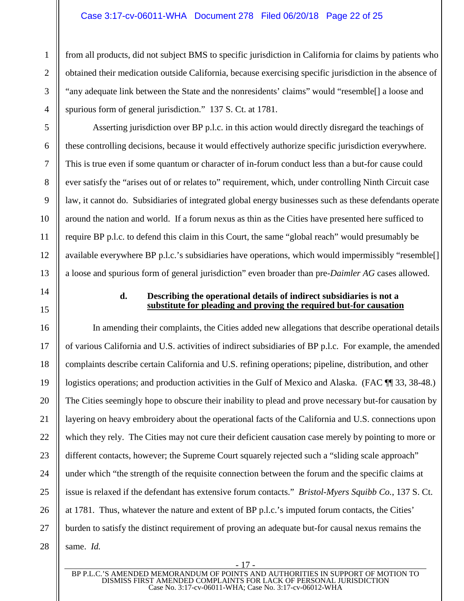#### Case 3:17-cv-06011-WHA Document 278 Filed 06/20/18 Page 22 of 25

from all products, did not subject BMS to specific jurisdiction in California for claims by patients who obtained their medication outside California, because exercising specific jurisdiction in the absence of "any adequate link between the State and the nonresidents' claims" would "resemble[] a loose and spurious form of general jurisdiction." 137 S. Ct. at 1781.

Asserting jurisdiction over BP p.l.c. in this action would directly disregard the teachings of these controlling decisions, because it would effectively authorize specific jurisdiction everywhere. This is true even if some quantum or character of in-forum conduct less than a but-for cause could ever satisfy the "arises out of or relates to" requirement, which, under controlling Ninth Circuit case law, it cannot do. Subsidiaries of integrated global energy businesses such as these defendants operate around the nation and world. If a forum nexus as thin as the Cities have presented here sufficed to require BP p.l.c. to defend this claim in this Court, the same "global reach" would presumably be available everywhere BP p.l.c.'s subsidiaries have operations, which would impermissibly "resemble[] a loose and spurious form of general jurisdiction" even broader than pre-*Daimler AG* cases allowed.

#### <span id="page-21-0"></span>**d. Describing the operational details of indirect subsidiaries is not a substitute for pleading and proving the required but-for causation**

In amending their complaints, the Cities added new allegations that describe operational details of various California and U.S. activities of indirect subsidiaries of BP p.l.c. For example, the amended complaints describe certain California and U.S. refining operations; pipeline, distribution, and other logistics operations; and production activities in the Gulf of Mexico and Alaska. (FAC  $\P$  33, 38-48.) The Cities seemingly hope to obscure their inability to plead and prove necessary but-for causation by layering on heavy embroidery about the operational facts of the California and U.S. connections upon which they rely. The Cities may not cure their deficient causation case merely by pointing to more or different contacts, however; the Supreme Court squarely rejected such a "sliding scale approach" under which "the strength of the requisite connection between the forum and the specific claims at issue is relaxed if the defendant has extensive forum contacts." *Bristol-Myers Squibb Co.*, 137 S. Ct. at 1781. Thus, whatever the nature and extent of BP p.l.c.'s imputed forum contacts, the Cities' burden to satisfy the distinct requirement of proving an adequate but-for causal nexus remains the same. *Id.*

BP P.L.C.'S AMENDED MEMORANDUM OF POINTS AND AUTHORITIES IN SUPPORT OF MOTION TO DISMISS FIRST AMENDED COMPLAINTS FOR LACK OF PERSONAL JURISDICTION Case No. 3:17-cv-06011-WHA; Case No. 3:17-cv-06012-WHA

- 17 -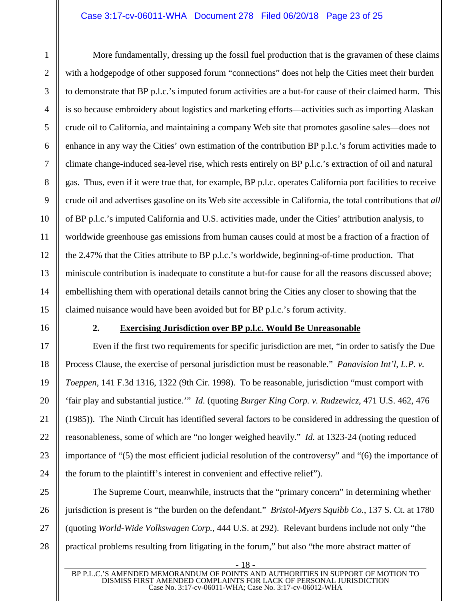#### Case 3:17-cv-06011-WHA Document 278 Filed 06/20/18 Page 23 of 25

More fundamentally, dressing up the fossil fuel production that is the gravamen of these claims with a hodgepodge of other supposed forum "connections" does not help the Cities meet their burden to demonstrate that BP p.l.c.'s imputed forum activities are a but-for cause of their claimed harm. This is so because embroidery about logistics and marketing efforts—activities such as importing Alaskan crude oil to California, and maintaining a company Web site that promotes gasoline sales—does not enhance in any way the Cities' own estimation of the contribution BP p.l.c.'s forum activities made to climate change-induced sea-level rise, which rests entirely on BP p.l.c.'s extraction of oil and natural gas. Thus, even if it were true that, for example, BP p.l.c. operates California port facilities to receive crude oil and advertises gasoline on its Web site accessible in California, the total contributions that *all* of BP p.l.c.'s imputed California and U.S. activities made, under the Cities' attribution analysis, to worldwide greenhouse gas emissions from human causes could at most be a fraction of a fraction of the 2.47% that the Cities attribute to BP p.l.c.'s worldwide, beginning-of-time production. That miniscule contribution is inadequate to constitute a but-for cause for all the reasons discussed above; embellishing them with operational details cannot bring the Cities any closer to showing that the claimed nuisance would have been avoided but for BP p.l.c.'s forum activity.

### <span id="page-22-2"></span><span id="page-22-1"></span><span id="page-22-0"></span>**2. Exercising Jurisdiction over BP p.l.c. Would Be Unreasonable**

Even if the first two requirements for specific jurisdiction are met, "in order to satisfy the Due Process Clause, the exercise of personal jurisdiction must be reasonable." *Panavision Int'l, L.P. v. Toeppen*, 141 F.3d 1316, 1322 (9th Cir. 1998). To be reasonable, jurisdiction "must comport with 'fair play and substantial justice.'" *Id.* (quoting *Burger King Corp. v. Rudzewicz*, 471 U.S. 462, 476 (1985)). The Ninth Circuit has identified several factors to be considered in addressing the question of reasonableness, some of which are "no longer weighed heavily." *Id.* at 1323-24 (noting reduced importance of "(5) the most efficient judicial resolution of the controversy" and "(6) the importance of the forum to the plaintiff's interest in convenient and effective relief").

<span id="page-22-3"></span>The Supreme Court, meanwhile, instructs that the "primary concern" in determining whether jurisdiction is present is "the burden on the defendant." *Bristol-Myers Squibb Co.*, 137 S. Ct. at 1780 (quoting *World-Wide Volkswagen Corp.,* 444 U.S. at 292). Relevant burdens include not only "the practical problems resulting from litigating in the forum," but also "the more abstract matter of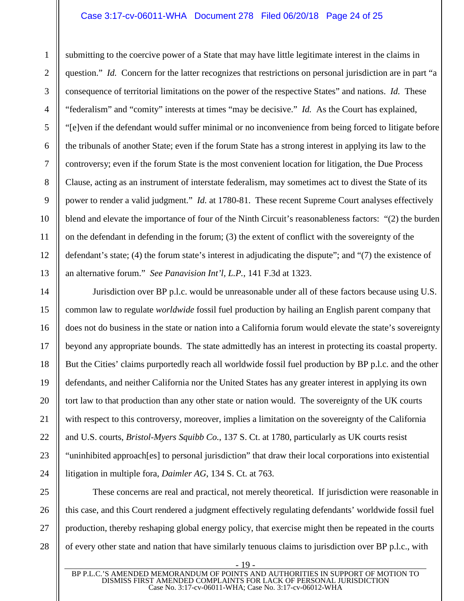#### Case 3:17-cv-06011-WHA Document 278 Filed 06/20/18 Page 24 of 25

submitting to the coercive power of a State that may have little legitimate interest in the claims in question." *Id.* Concern for the latter recognizes that restrictions on personal jurisdiction are in part "a consequence of territorial limitations on the power of the respective States" and nations. *Id.* These "federalism" and "comity" interests at times "may be decisive." *Id.* As the Court has explained, "[e]ven if the defendant would suffer minimal or no inconvenience from being forced to litigate before the tribunals of another State; even if the forum State has a strong interest in applying its law to the controversy; even if the forum State is the most convenient location for litigation, the Due Process Clause, acting as an instrument of interstate federalism, may sometimes act to divest the State of its power to render a valid judgment." *Id.* at 1780-81. These recent Supreme Court analyses effectively blend and elevate the importance of four of the Ninth Circuit's reasonableness factors: "(2) the burden on the defendant in defending in the forum; (3) the extent of conflict with the sovereignty of the defendant's state; (4) the forum state's interest in adjudicating the dispute"; and "(7) the existence of an alternative forum." *See Panavision Int'l, L.P.*, 141 F.3d at 1323.

Jurisdiction over BP p.l.c. would be unreasonable under all of these factors because using U.S. common law to regulate *worldwide* fossil fuel production by hailing an English parent company that does not do business in the state or nation into a California forum would elevate the state's sovereignty beyond any appropriate bounds. The state admittedly has an interest in protecting its coastal property. But the Cities' claims purportedly reach all worldwide fossil fuel production by BP p.l.c. and the other defendants, and neither California nor the United States has any greater interest in applying its own tort law to that production than any other state or nation would. The sovereignty of the UK courts with respect to this controversy, moreover, implies a limitation on the sovereignty of the California and U.S. courts, *Bristol-Myers Squibb Co.*, 137 S. Ct. at 1780, particularly as UK courts resist "uninhibited approach[es] to personal jurisdiction" that draw their local corporations into existential litigation in multiple fora, *Daimler AG*, 134 S. Ct. at 763.

These concerns are real and practical, not merely theoretical. If jurisdiction were reasonable in this case, and this Court rendered a judgment effectively regulating defendants' worldwide fossil fuel production, thereby reshaping global energy policy, that exercise might then be repeated in the courts of every other state and nation that have similarly tenuous claims to jurisdiction over BP p.l.c., with

1